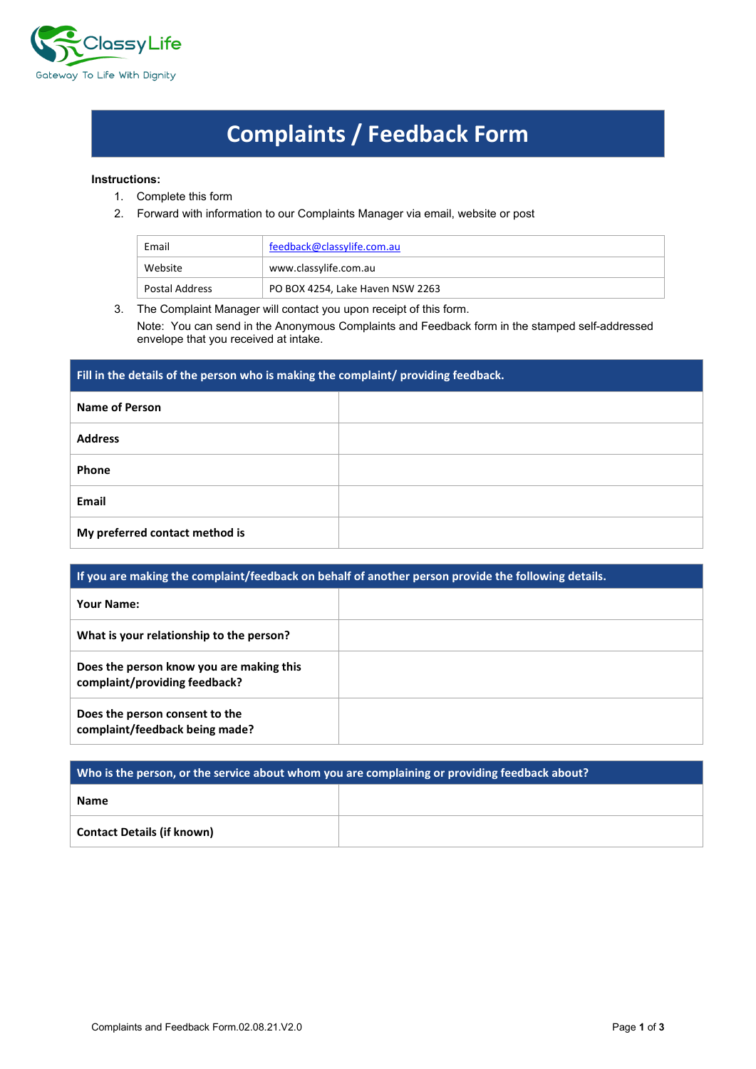

## **Complaints / Feedback Form**

## **Instructions:**

- 1. Complete this form
- 2. Forward with information to our Complaints Manager via email, website or post

| Email          | feedback@classylife.com.au       |
|----------------|----------------------------------|
| Website        | www.classylife.com.au            |
| Postal Address | PO BOX 4254, Lake Haven NSW 2263 |

3. The Complaint Manager will contact you upon receipt of this form.

Note: You can send in the Anonymous Complaints and Feedback form in the stamped self-addressed envelope that you received at intake.

| Fill in the details of the person who is making the complaint/ providing feedback. |  |  |
|------------------------------------------------------------------------------------|--|--|
| <b>Name of Person</b>                                                              |  |  |
| <b>Address</b>                                                                     |  |  |
| Phone                                                                              |  |  |
| Email                                                                              |  |  |
| My preferred contact method is                                                     |  |  |

| If you are making the complaint/feedback on behalf of another person provide the following details. |  |  |  |
|-----------------------------------------------------------------------------------------------------|--|--|--|
| <b>Your Name:</b>                                                                                   |  |  |  |
| What is your relationship to the person?                                                            |  |  |  |
| Does the person know you are making this<br>complaint/providing feedback?                           |  |  |  |
| Does the person consent to the<br>complaint/feedback being made?                                    |  |  |  |

| Who is the person, or the service about whom you are complaining or providing feedback about? |  |  |
|-----------------------------------------------------------------------------------------------|--|--|
| <b>Name</b>                                                                                   |  |  |
| <b>Contact Details (if known)</b>                                                             |  |  |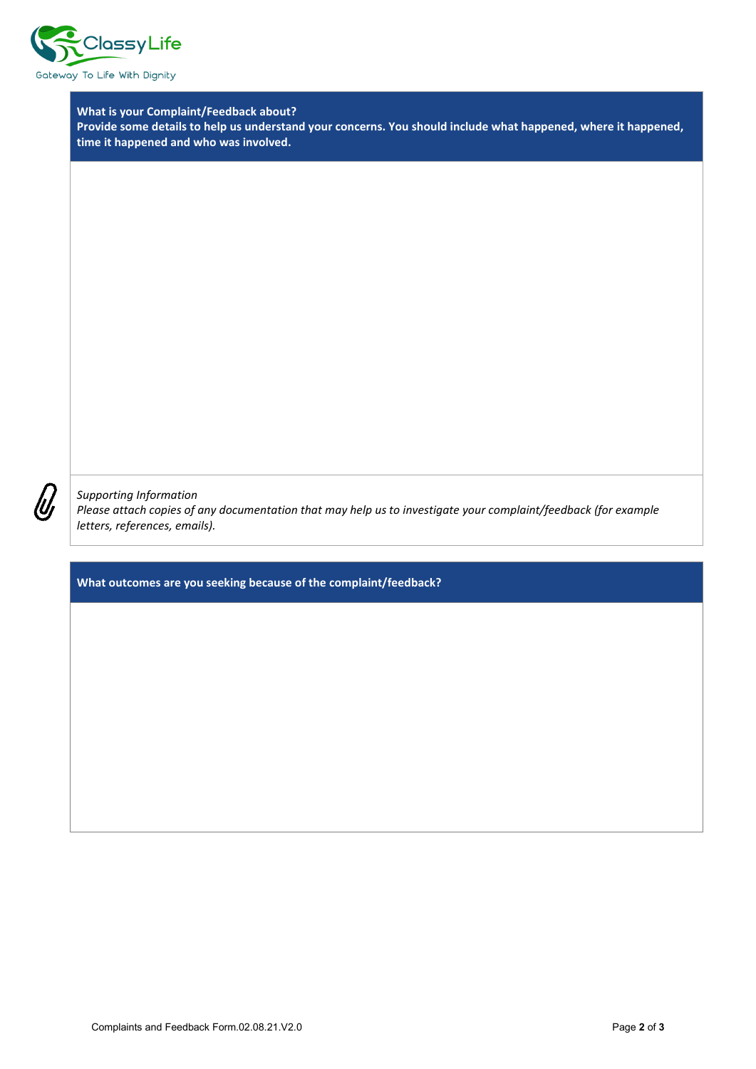

**What is your Complaint/Feedback about?**

**Provide some details to help us understand your concerns. You should include what happened, where it happened, time it happened and who was involved.**

*Supporting Information*

*Please attach copies of any documentation that may help us to investigate your complaint/feedback (for example letters, references, emails).*

**What outcomes are you seeking because of the complaint/feedback?**